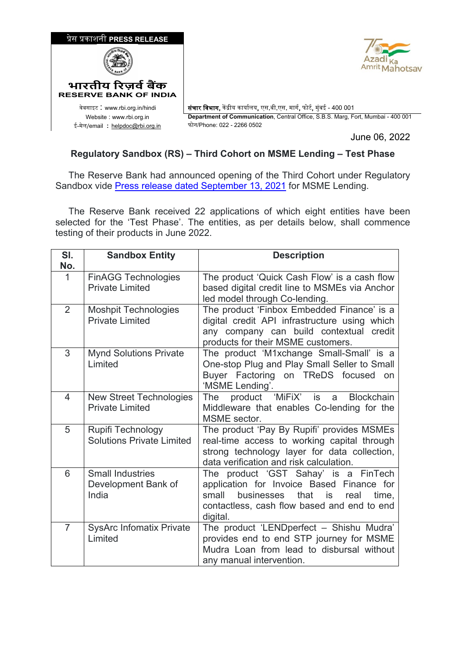

June 06, 2022

## **Regulatory Sandbox (RS) – Third Cohort on MSME Lending – Test Phase**

 The Reserve Bank had announced opening of the Third Cohort under Regulatory Sandbox vide Press release dated September 13, 2021 for MSME Lending.

 The Reserve Bank received 22 applications of which eight entities have been selected for the 'Test Phase'. The entities, as per details below, shall commence testing of their products in June 2022.

| SI.            | <b>Sandbox Entity</b>                                    | <b>Description</b>                                                                                                                                                                                  |
|----------------|----------------------------------------------------------|-----------------------------------------------------------------------------------------------------------------------------------------------------------------------------------------------------|
| No.            |                                                          |                                                                                                                                                                                                     |
| $\mathbf 1$    | <b>FinAGG Technologies</b><br><b>Private Limited</b>     | The product 'Quick Cash Flow' is a cash flow<br>based digital credit line to MSMEs via Anchor<br>led model through Co-lending.                                                                      |
| $\overline{2}$ | <b>Moshpit Technologies</b><br><b>Private Limited</b>    | The product 'Finbox Embedded Finance' is a<br>digital credit API infrastructure using which<br>any company can build contextual credit<br>products for their MSME customers.                        |
| 3              | <b>Mynd Solutions Private</b><br>Limited                 | The product 'M1xchange Small-Small' is a<br>One-stop Plug and Play Small Seller to Small<br>Buyer Factoring on TReDS focused on<br>'MSME Lending'.                                                  |
| $\overline{4}$ | <b>New Street Technologies</b><br><b>Private Limited</b> | product 'MiFiX' is<br><b>Blockchain</b><br>The<br>a<br>Middleware that enables Co-lending for the<br>MSME sector.                                                                                   |
| 5              | Rupifi Technology<br><b>Solutions Private Limited</b>    | The product 'Pay By Rupifi' provides MSMEs<br>real-time access to working capital through<br>strong technology layer for data collection,<br>data verification and risk calculation.                |
| $6\phantom{1}$ | <b>Small Industries</b><br>Development Bank of<br>India  | The product 'GST Sahay' is a FinTech<br>application for Invoice Based Finance for<br>businesses<br>that<br>small<br>is.<br>time,<br>real<br>contactless, cash flow based and end to end<br>digital. |
| $\overline{7}$ | <b>SysArc Infomatix Private</b><br>Limited               | The product 'LENDperfect - Shishu Mudra'<br>provides end to end STP journey for MSME<br>Mudra Loan from lead to disbursal without<br>any manual intervention.                                       |